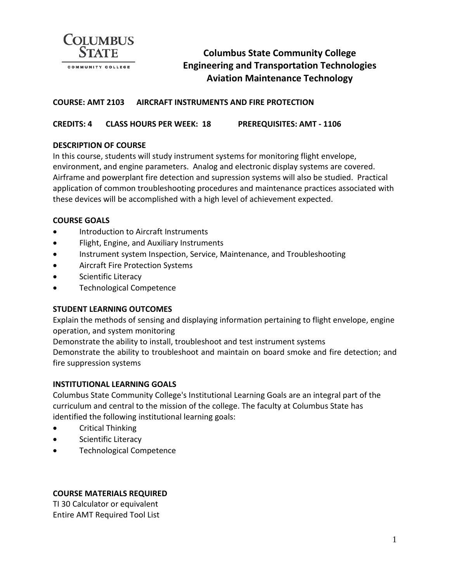

# **Columbus State Community College Engineering and Transportation Technologies Aviation Maintenance Technology**

### **COURSE: AMT 2103 AIRCRAFT INSTRUMENTS AND FIRE PROTECTION**

**CREDITS: 4 CLASS HOURS PER WEEK: 18 PREREQUISITES: AMT - 1106**

#### **DESCRIPTION OF COURSE**

In this course, students will study instrument systems for monitoring flight envelope, environment, and engine parameters. Analog and electronic display systems are covered. Airframe and powerplant fire detection and supression systems will also be studied. Practical application of common troubleshooting procedures and maintenance practices associated with these devices will be accomplished with a high level of achievement expected.

#### **COURSE GOALS**

- Introduction to Aircraft Instruments
- Flight, Engine, and Auxiliary Instruments
- Instrument system Inspection, Service, Maintenance, and Troubleshooting
- Aircraft Fire Protection Systems
- Scientific Literacy
- Technological Competence

#### **STUDENT LEARNING OUTCOMES**

Explain the methods of sensing and displaying information pertaining to flight envelope, engine operation, and system monitoring

Demonstrate the ability to install, troubleshoot and test instrument systems Demonstrate the ability to troubleshoot and maintain on board smoke and fire detection; and fire suppression systems

#### **INSTITUTIONAL LEARNING GOALS**

Columbus State Community College's Institutional Learning Goals are an integral part of the curriculum and central to the mission of the college. The faculty at Columbus State has identified the following institutional learning goals:

- Critical Thinking
- Scientific Literacy
- Technological Competence

## **COURSE MATERIALS REQUIRED**

TI 30 Calculator or equivalent Entire AMT Required Tool List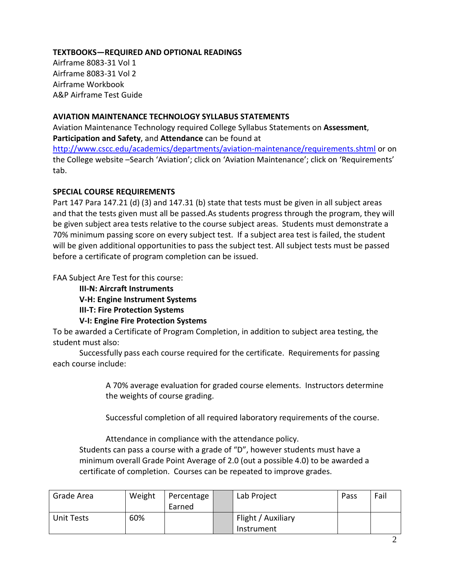## **TEXTBOOKS—REQUIRED AND OPTIONAL READINGS**

Airframe 8083-31 Vol 1 Airframe 8083-31 Vol 2 Airframe Workbook A&P Airframe Test Guide

### **AVIATION MAINTENANCE TECHNOLOGY SYLLABUS STATEMENTS**

Aviation Maintenance Technology required College Syllabus Statements on **Assessment**, **Participation and Safety**, and **Attendance** can be found at

<http://www.cscc.edu/academics/departments/aviation-maintenance/requirements.shtml> or on the College website –Search 'Aviation'; click on 'Aviation Maintenance'; click on 'Requirements' tab.

### **SPECIAL COURSE REQUIREMENTS**

Part 147 Para 147.21 (d) (3) and 147.31 (b) state that tests must be given in all subject areas and that the tests given must all be passed.As students progress through the program, they will be given subject area tests relative to the course subject areas. Students must demonstrate a 70% minimum passing score on every subject test. If a subject area test is failed, the student will be given additional opportunities to pass the subject test. All subject tests must be passed before a certificate of program completion can be issued.

FAA Subject Are Test for this course:

**III-N: Aircraft Instruments**

**V-H: Engine Instrument Systems**

## **III-T: Fire Protection Systems**

## **V-I: Engine Fire Protection Systems**

To be awarded a Certificate of Program Completion, in addition to subject area testing, the student must also:

Successfully pass each course required for the certificate. Requirements for passing each course include:

> A 70% average evaluation for graded course elements. Instructors determine the weights of course grading.

Successful completion of all required laboratory requirements of the course.

Attendance in compliance with the attendance policy.

Students can pass a course with a grade of "D", however students must have a minimum overall Grade Point Average of 2.0 (out a possible 4.0) to be awarded a certificate of completion. Courses can be repeated to improve grades.

| Grade Area | Weight | Percentage | Lab Project        | Pass | Fail |
|------------|--------|------------|--------------------|------|------|
|            |        | Earned     |                    |      |      |
| Unit Tests | 60%    |            | Flight / Auxiliary |      |      |
|            |        |            | Instrument         |      |      |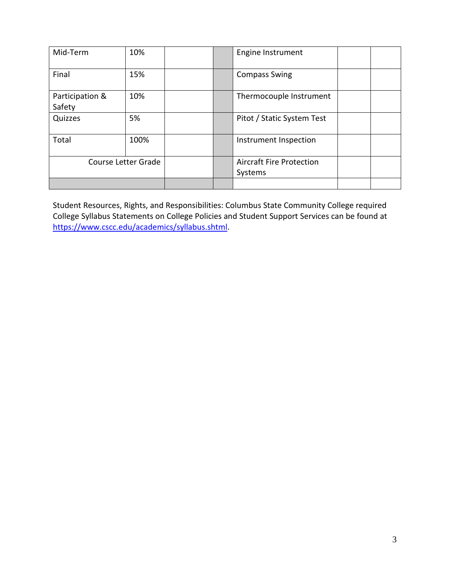| Mid-Term                  | 10%  | <b>Engine Instrument</b> |                                            |  |
|---------------------------|------|--------------------------|--------------------------------------------|--|
| Final                     | 15%  |                          | <b>Compass Swing</b>                       |  |
| Participation &<br>Safety | 10%  |                          | Thermocouple Instrument                    |  |
| Quizzes                   | 5%   |                          | Pitot / Static System Test                 |  |
| Total                     | 100% |                          | Instrument Inspection                      |  |
| Course Letter Grade       |      |                          | <b>Aircraft Fire Protection</b><br>Systems |  |
|                           |      |                          |                                            |  |

Student Resources, Rights, and Responsibilities: Columbus State Community College required College Syllabus Statements on College Policies and Student Support Services can be found at [https://www.cscc.edu/academics/syllabus.shtml.](https://www.cscc.edu/academics/syllabus.shtml)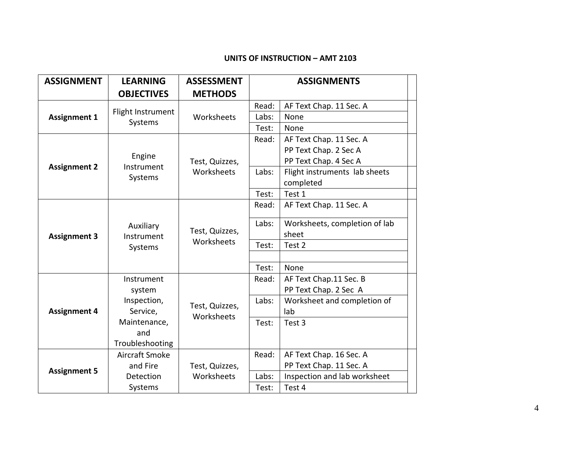#### **UNITS OF INSTRUCTION – AMT 2103**

| <b>ASSIGNMENT</b>   | <b>LEARNING</b>                    | <b>ASSESSMENT</b>            | <b>ASSIGNMENTS</b> |                               |
|---------------------|------------------------------------|------------------------------|--------------------|-------------------------------|
|                     | <b>OBJECTIVES</b>                  | <b>METHODS</b>               |                    |                               |
| <b>Assignment 1</b> | Flight Instrument<br>Systems       |                              | Read:              | AF Text Chap. 11 Sec. A       |
|                     |                                    | Worksheets                   | Labs:              | None                          |
|                     |                                    |                              | Test:              | None                          |
|                     | Engine<br>Instrument<br>Systems    | Test, Quizzes,<br>Worksheets | Read:              | AF Text Chap. 11 Sec. A       |
|                     |                                    |                              |                    | PP Text Chap. 2 Sec A         |
| <b>Assignment 2</b> |                                    |                              |                    | PP Text Chap. 4 Sec A         |
|                     |                                    |                              | Labs:              | Flight instruments lab sheets |
|                     |                                    |                              |                    | completed                     |
|                     |                                    |                              | Test:              | Test 1                        |
| <b>Assignment 3</b> | Auxiliary<br>Instrument<br>Systems |                              | Read:              | AF Text Chap. 11 Sec. A       |
|                     |                                    |                              | Labs:              | Worksheets, completion of lab |
|                     |                                    | Test, Quizzes,<br>Worksheets |                    | sheet                         |
|                     |                                    |                              | Test:              | Test 2                        |
|                     |                                    |                              |                    |                               |
|                     |                                    |                              | Test:              | None                          |
|                     | Instrument                         |                              | Read:              | AF Text Chap.11 Sec. B        |
|                     | system                             |                              |                    | PP Text Chap. 2 Sec A         |
| <b>Assignment 4</b> | Inspection,                        |                              | Labs:              | Worksheet and completion of   |
|                     | Service,                           | Test, Quizzes,               |                    | lab                           |
|                     | Maintenance,                       | Worksheets                   | Test:              | Test 3                        |
|                     | and                                |                              |                    |                               |
|                     | Troubleshooting                    |                              |                    |                               |
| <b>Assignment 5</b> | Aircraft Smoke                     |                              | Read:              | AF Text Chap. 16 Sec. A       |
|                     | and Fire                           | Test, Quizzes,               |                    | PP Text Chap. 11 Sec. A       |
|                     | <b>Detection</b>                   | Worksheets                   | Labs:              | Inspection and lab worksheet  |
|                     | Systems                            |                              | Test:              | Test 4                        |